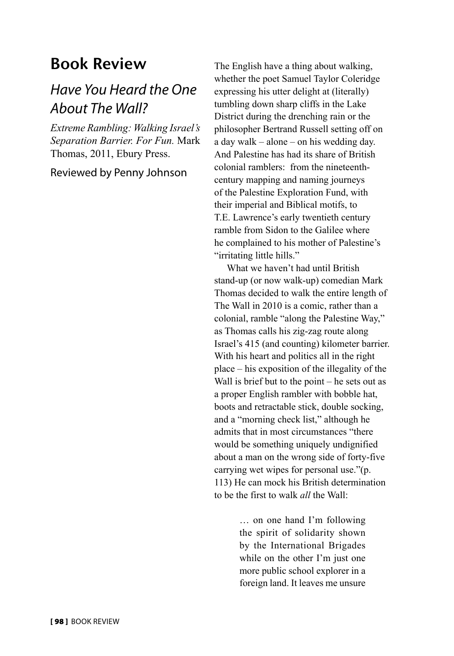## Book Review

## *Have You Heard the One About The Wall?*

*Extreme Rambling: Walking Israel's Separation Barrier. For Fun.* Mark Thomas, 2011, Ebury Press.

Reviewed by Penny Johnson

The English have a thing about walking, whether the poet Samuel Taylor Coleridge expressing his utter delight at (literally) tumbling down sharp cliffs in the Lake District during the drenching rain or the philosopher Bertrand Russell setting off on a day walk – alone – on his wedding day. And Palestine has had its share of British colonial ramblers: from the nineteenthcentury mapping and naming journeys of the Palestine Exploration Fund, with their imperial and Biblical motifs, to T.E. Lawrence's early twentieth century ramble from Sidon to the Galilee where he complained to his mother of Palestine's "irritating little hills."

What we haven't had until British stand-up (or now walk-up) comedian Mark Thomas decided to walk the entire length of The Wall in 2010 is a comic, rather than a colonial, ramble "along the Palestine Way," as Thomas calls his zig-zag route along Israel's 415 (and counting) kilometer barrier. With his heart and politics all in the right place – his exposition of the illegality of the Wall is brief but to the point – he sets out as a proper English rambler with bobble hat, boots and retractable stick, double socking, and a "morning check list," although he admits that in most circumstances "there would be something uniquely undignified about a man on the wrong side of forty-five carrying wet wipes for personal use."(p. 113) He can mock his British determination to be the first to walk *all* the Wall:

> … on one hand I'm following the spirit of solidarity shown by the International Brigades while on the other I'm just one more public school explorer in a foreign land. It leaves me unsure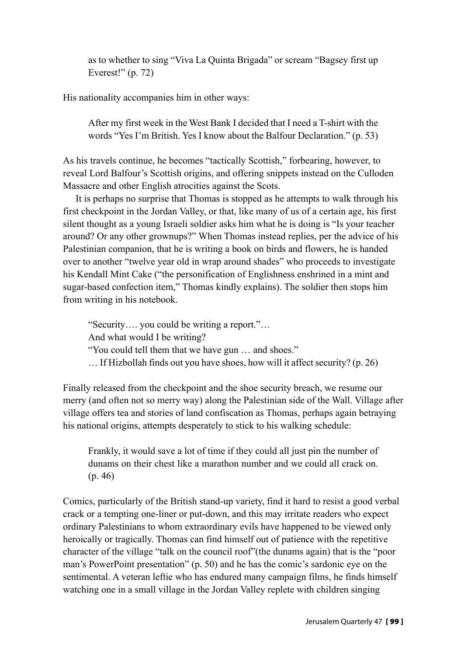as to whether to sing "Viva La Quinta Brigada" or scream "Bagsey first up Everest!" (p. 72)

His nationality accompanies him in other ways:

After my first week in the West Bank I decided that I need a T-shirt with the words "Yes I'm British. Yes I know about the Balfour Declaration." (p. 53)

As his travels continue, he becomes "tactically Scottish," forbearing, however, to reveal Lord Balfour's Scottish origins, and offering snippets instead on the Culloden Massacre and other English atrocities against the Scots.

It is perhaps no surprise that Thomas is stopped as he attempts to walk through his first checkpoint in the Jordan Valley, or that, like many of us of a certain age, his first silent thought as a young Israeli soldier asks him what he is doing is "Is your teacher around? Or any other grownups?" When Thomas instead replies, per the advice of his Palestinian companion, that he is writing a book on birds and flowers, he is handed over to another "twelve year old in wrap around shades" who proceeds to investigate his Kendall Mint Cake ("the personification of Englishness enshrined in a mint and sugar-based confection item," Thomas kindly explains). The soldier then stops him from writing in his notebook.

"Security…. you could be writing a report."… And what would I be writing? "You could tell them that we have gun … and shoes." … If Hizbollah finds out you have shoes, how will it affect security? (p. 26)

Finally released from the checkpoint and the shoe security breach, we resume our merry (and often not so merry way) along the Palestinian side of the Wall. Village after village offers tea and stories of land confiscation as Thomas, perhaps again betraying his national origins, attempts desperately to stick to his walking schedule:

Frankly, it would save a lot of time if they could all just pin the number of dunams on their chest like a marathon number and we could all crack on. (p. 46)

Comics, particularly of the British stand-up variety, find it hard to resist a good verbal crack or a tempting one-liner or put-down, and this may irritate readers who expect ordinary Palestinians to whom extraordinary evils have happened to be viewed only heroically or tragically. Thomas can find himself out of patience with the repetitive character of the village "talk on the council roof"(the dunams again) that is the "poor man's PowerPoint presentation" (p. 50) and he has the comic's sardonic eye on the sentimental. A veteran leftie who has endured many campaign films, he finds himself watching one in a small village in the Jordan Valley replete with children singing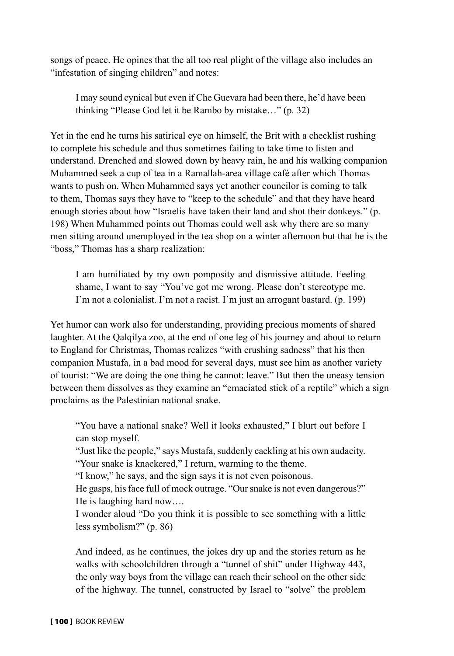songs of peace. He opines that the all too real plight of the village also includes an "infestation of singing children" and notes:

I may sound cynical but even if Che Guevara had been there, he'd have been thinking "Please God let it be Rambo by mistake…" (p. 32)

Yet in the end he turns his satirical eye on himself, the Brit with a checklist rushing to complete his schedule and thus sometimes failing to take time to listen and understand. Drenched and slowed down by heavy rain, he and his walking companion Muhammed seek a cup of tea in a Ramallah-area village café after which Thomas wants to push on. When Muhammed says yet another councilor is coming to talk to them, Thomas says they have to "keep to the schedule" and that they have heard enough stories about how "Israelis have taken their land and shot their donkeys." (p. 198) When Muhammed points out Thomas could well ask why there are so many men sitting around unemployed in the tea shop on a winter afternoon but that he is the "boss," Thomas has a sharp realization:

I am humiliated by my own pomposity and dismissive attitude. Feeling shame, I want to say "You've got me wrong. Please don't stereotype me. I'm not a colonialist. I'm not a racist. I'm just an arrogant bastard. (p. 199)

Yet humor can work also for understanding, providing precious moments of shared laughter. At the Qalqilya zoo, at the end of one leg of his journey and about to return to England for Christmas, Thomas realizes "with crushing sadness" that his then companion Mustafa, in a bad mood for several days, must see him as another variety of tourist: "We are doing the one thing he cannot: leave." But then the uneasy tension between them dissolves as they examine an "emaciated stick of a reptile" which a sign proclaims as the Palestinian national snake.

"You have a national snake? Well it looks exhausted," I blurt out before I can stop myself.

"Just like the people," says Mustafa, suddenly cackling at his own audacity. "Your snake is knackered," I return, warming to the theme.

"I know," he says, and the sign says it is not even poisonous.

He gasps, his face full of mock outrage. "Our snake is not even dangerous?" He is laughing hard now….

I wonder aloud "Do you think it is possible to see something with a little less symbolism?" (p. 86)

And indeed, as he continues, the jokes dry up and the stories return as he walks with schoolchildren through a "tunnel of shit" under Highway 443, the only way boys from the village can reach their school on the other side of the highway. The tunnel, constructed by Israel to "solve" the problem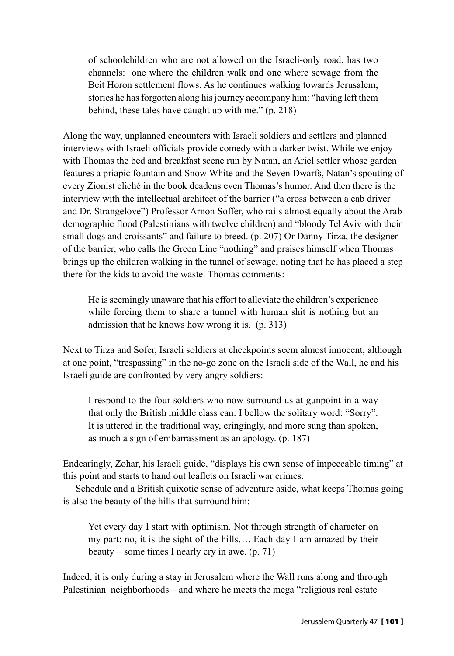of schoolchildren who are not allowed on the Israeli-only road, has two channels: one where the children walk and one where sewage from the Beit Horon settlement flows. As he continues walking towards Jerusalem, stories he has forgotten along his journey accompany him: "having left them behind, these tales have caught up with me." (p. 218)

Along the way, unplanned encounters with Israeli soldiers and settlers and planned interviews with Israeli officials provide comedy with a darker twist. While we enjoy with Thomas the bed and breakfast scene run by Natan, an Ariel settler whose garden features a priapic fountain and Snow White and the Seven Dwarfs, Natan's spouting of every Zionist cliché in the book deadens even Thomas's humor. And then there is the interview with the intellectual architect of the barrier ("a cross between a cab driver and Dr. Strangelove") Professor Arnon Soffer, who rails almost equally about the Arab demographic flood (Palestinians with twelve children) and "bloody Tel Aviv with their small dogs and croissants" and failure to breed. (p. 207) Or Danny Tirza, the designer of the barrier, who calls the Green Line "nothing" and praises himself when Thomas brings up the children walking in the tunnel of sewage, noting that he has placed a step there for the kids to avoid the waste. Thomas comments:

He is seemingly unaware that his effort to alleviate the children's experience while forcing them to share a tunnel with human shit is nothing but an admission that he knows how wrong it is. (p. 313)

Next to Tirza and Sofer, Israeli soldiers at checkpoints seem almost innocent, although at one point, "trespassing" in the no-go zone on the Israeli side of the Wall, he and his Israeli guide are confronted by very angry soldiers:

I respond to the four soldiers who now surround us at gunpoint in a way that only the British middle class can: I bellow the solitary word: "Sorry". It is uttered in the traditional way, cringingly, and more sung than spoken, as much a sign of embarrassment as an apology. (p. 187)

Endearingly, Zohar, his Israeli guide, "displays his own sense of impeccable timing" at this point and starts to hand out leaflets on Israeli war crimes.

Schedule and a British quixotic sense of adventure aside, what keeps Thomas going is also the beauty of the hills that surround him:

Yet every day I start with optimism. Not through strength of character on my part: no, it is the sight of the hills…. Each day I am amazed by their beauty – some times I nearly cry in awe. (p. 71)

Indeed, it is only during a stay in Jerusalem where the Wall runs along and through Palestinian neighborhoods – and where he meets the mega "religious real estate